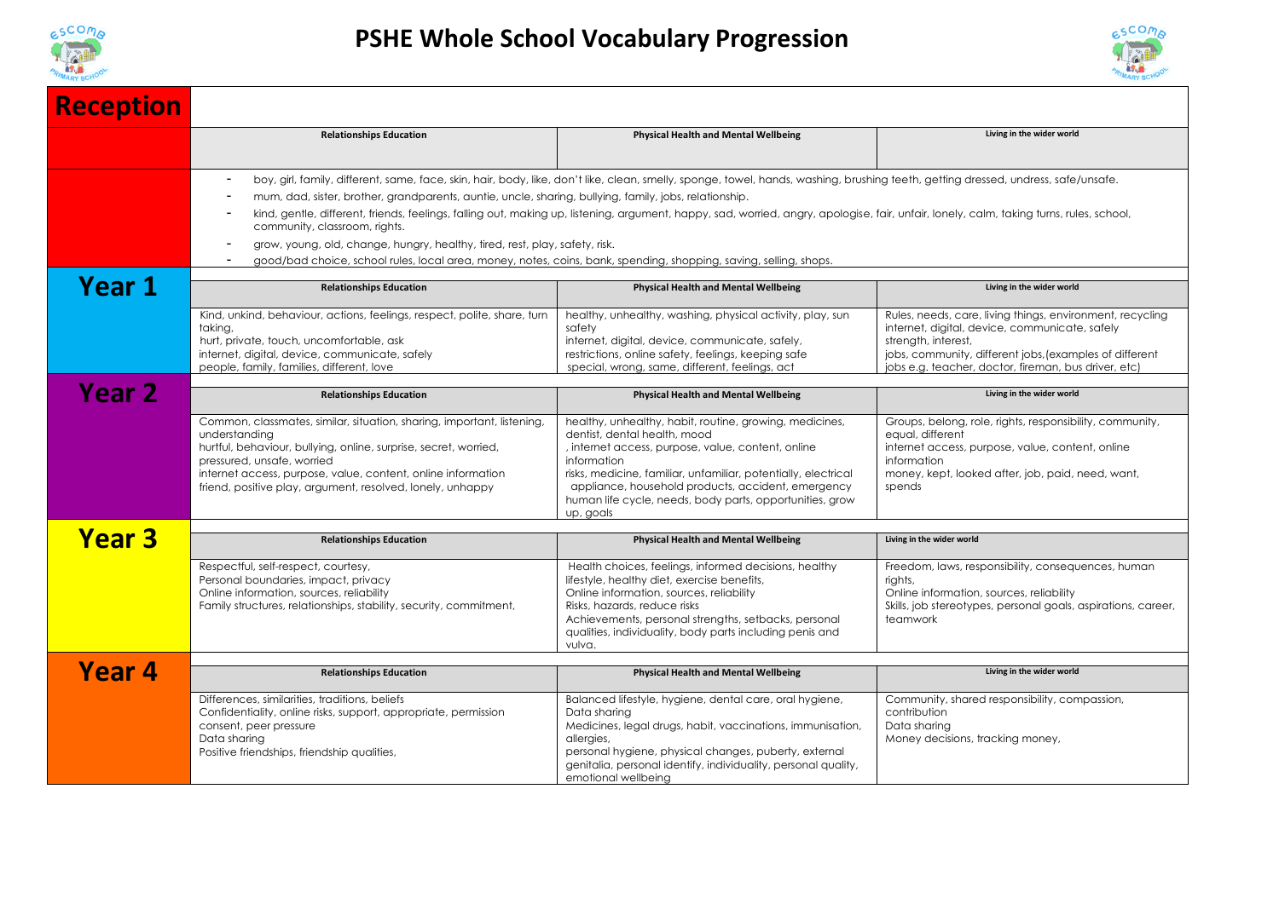



| <b>Reception</b>  |                                                                                                                                                                                                                                                                                                                                                                                                                                                                                                                                                                                                                                                                                                                               |                                                                                                                                                                                                                                                                                                                                                               |                                                                                                                                                                                                                                                       |  |  |
|-------------------|-------------------------------------------------------------------------------------------------------------------------------------------------------------------------------------------------------------------------------------------------------------------------------------------------------------------------------------------------------------------------------------------------------------------------------------------------------------------------------------------------------------------------------------------------------------------------------------------------------------------------------------------------------------------------------------------------------------------------------|---------------------------------------------------------------------------------------------------------------------------------------------------------------------------------------------------------------------------------------------------------------------------------------------------------------------------------------------------------------|-------------------------------------------------------------------------------------------------------------------------------------------------------------------------------------------------------------------------------------------------------|--|--|
|                   | <b>Relationships Education</b>                                                                                                                                                                                                                                                                                                                                                                                                                                                                                                                                                                                                                                                                                                | <b>Physical Health and Mental Wellbeing</b>                                                                                                                                                                                                                                                                                                                   | Living in the wider world                                                                                                                                                                                                                             |  |  |
|                   | boy, girl, family, different, same, face, skin, hair, body, like, don't like, clean, smelly, sponge, towel, hands, washing, brushing teeth, getting dressed, undress, safe/unsafe.<br>mum, dad, sister, brother, grandparents, auntie, uncle, sharing, bullying, family, jobs, relationship.<br>kind, gentle, different, friends, feelings, falling out, making up, listening, argument, happy, sad, worried, angry, apologise, fair, unfair, lonely, calm, taking turns, rules, school,<br>community, classroom, rights.<br>grow, young, old, change, hungry, healthy, tired, rest, play, safety, risk.<br>good/bad choice, school rules, local area, money, notes, coins, bank, spending, shopping, saving, selling, shops. |                                                                                                                                                                                                                                                                                                                                                               |                                                                                                                                                                                                                                                       |  |  |
| Year 1            | <b>Relationships Education</b>                                                                                                                                                                                                                                                                                                                                                                                                                                                                                                                                                                                                                                                                                                | <b>Physical Health and Mental Wellbeing</b>                                                                                                                                                                                                                                                                                                                   | Living in the wider world                                                                                                                                                                                                                             |  |  |
|                   | Kind, unkind, behaviour, actions, feelings, respect, polite, share, turn<br>taking,<br>hurt, private, touch, uncomfortable, ask<br>internet, digital, device, communicate, safely<br>people, family, families, different, love                                                                                                                                                                                                                                                                                                                                                                                                                                                                                                | healthy, unhealthy, washing, physical activity, play, sun<br>safety<br>internet, digital, device, communicate, safely,<br>restrictions, online safety, feelings, keeping safe<br>special, wrong, same, different, feelings, act                                                                                                                               | Rules, needs, care, living things, environment, recycling<br>internet, digital, device, communicate, safely<br>strength, interest,<br>jobs, community, different jobs, (examples of different<br>jobs e.g. teacher, doctor, fireman, bus driver, etc) |  |  |
| Year <sub>2</sub> | <b>Relationships Education</b>                                                                                                                                                                                                                                                                                                                                                                                                                                                                                                                                                                                                                                                                                                | <b>Physical Health and Mental Wellbeing</b>                                                                                                                                                                                                                                                                                                                   | Living in the wider world                                                                                                                                                                                                                             |  |  |
|                   | Common, classmates, similar, situation, sharing, important, listening,<br>understanding<br>hurtful, behaviour, bullying, online, surprise, secret, worried,<br>pressured, unsafe, worried<br>internet access, purpose, value, content, online information<br>friend, positive play, argument, resolved, lonely, unhappy                                                                                                                                                                                                                                                                                                                                                                                                       | healthy, unhealthy, habit, routine, growing, medicines,<br>dentist, dental health, mood<br>, internet access, purpose, value, content, online<br>information<br>risks, medicine, familiar, unfamiliar, potentially, electrical<br>appliance, household products, accident, emergency<br>human life cycle, needs, body parts, opportunities, grow<br>up, goals | Groups, belong, role, rights, responsibility, community,<br>equal, different<br>internet access, purpose, value, content, online<br>information<br>money, kept, looked after, job, paid, need, want,<br>spends                                        |  |  |
| <b>Year 3</b>     | <b>Relationships Education</b>                                                                                                                                                                                                                                                                                                                                                                                                                                                                                                                                                                                                                                                                                                | <b>Physical Health and Mental Wellbeing</b>                                                                                                                                                                                                                                                                                                                   | Living in the wider world                                                                                                                                                                                                                             |  |  |
|                   | Respectful, self-respect, courtesy,<br>Personal boundaries, impact, privacy<br>Online information, sources, reliability<br>Family structures, relationships, stability, security, commitment,                                                                                                                                                                                                                                                                                                                                                                                                                                                                                                                                 | Health choices, feelings, informed decisions, healthy<br>lifestyle, healthy diet, exercise benefits,<br>Online information, sources, reliability<br>Risks, hazards, reduce risks<br>Achievements, personal strengths, setbacks, personal<br>qualities, individuality, body parts including penis and<br>vulva.                                                | Freedom, laws, responsibility, consequences, human<br>riahts.<br>Online information, sources, reliability<br>Skills, job stereotypes, personal goals, aspirations, career,<br>teamwork                                                                |  |  |
| Year 4            | <b>Relationships Education</b>                                                                                                                                                                                                                                                                                                                                                                                                                                                                                                                                                                                                                                                                                                | <b>Physical Health and Mental Wellbeing</b>                                                                                                                                                                                                                                                                                                                   | Living in the wider world                                                                                                                                                                                                                             |  |  |
|                   | Differences, similarities, traditions, beliefs<br>Confidentiality, online risks, support, appropriate, permission<br>consent, peer pressure<br>Data sharing<br>Positive friendships, friendship qualities,                                                                                                                                                                                                                                                                                                                                                                                                                                                                                                                    | Balanced lifestyle, hygiene, dental care, oral hygiene,<br>Data sharing<br>Medicines, legal drugs, habit, vaccinations, immunisation,<br>allergies,<br>personal hygiene, physical changes, puberty, external<br>genitalia, personal identify, individuality, personal quality,<br>emotional wellbeing                                                         | Community, shared responsibility, compassion,<br>contribution<br>Data sharing<br>Money decisions, tracking money,                                                                                                                                     |  |  |